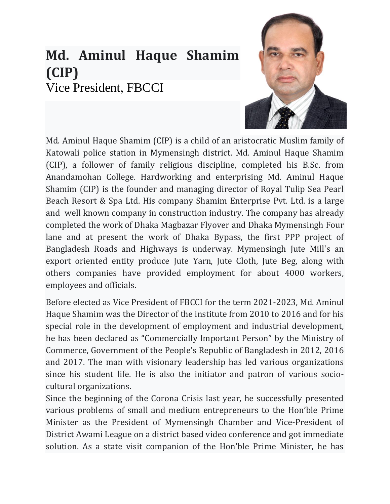# **Md. Aminul Haque Shamim (CIP)** Vice President, FBCCI



Md. Aminul Haque Shamim (CIP) is a child of an aristocratic Muslim family of Katowali police station in Mymensingh district. Md. Aminul Haque Shamim (CIP), a follower of family religious discipline, completed his B.Sc. from Anandamohan College. Hardworking and enterprising Md. Aminul Haque Shamim (CIP) is the founder and managing director of Royal Tulip Sea Pearl Beach Resort & Spa Ltd. His company Shamim Enterprise Pvt. Ltd. is a large and well known company in construction industry. The company has already completed the work of Dhaka Magbazar Flyover and Dhaka Mymensingh Four lane and at present the work of Dhaka Bypass, the first PPP project of Bangladesh Roads and Highways is underway. Mymensingh Jute Mill's an export oriented entity produce Jute Yarn, Jute Cloth, Jute Beg, along with others companies have provided employment for about 4000 workers, employees and officials.

Before elected as Vice President of FBCCI for the term 2021-2023, Md. Aminul Haque Shamim was the Director of the institute from 2010 to 2016 and for his special role in the development of employment and industrial development, he has been declared as "Commercially Important Person" by the Ministry of Commerce, Government of the People's Republic of Bangladesh in 2012, 2016 and 2017. The man with visionary leadership has led various organizations since his student life. He is also the initiator and patron of various sociocultural organizations.

Since the beginning of the Corona Crisis last year, he successfully presented various problems of small and medium entrepreneurs to the Hon'ble Prime Minister as the President of Mymensingh Chamber and Vice-President of District Awami League on a district based video conference and got immediate solution. As a state visit companion of the Hon'ble Prime Minister, he has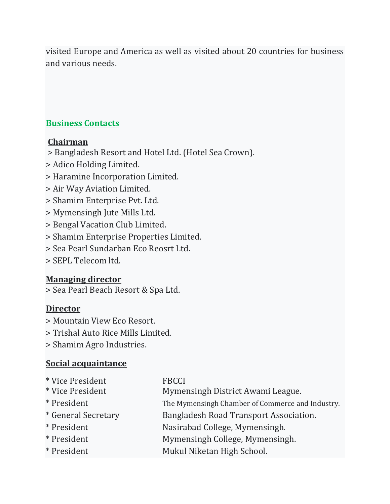visited Europe and America as well as visited about 20 countries for business and various needs.

#### **Business Contacts**

#### **Chairman**

- > Bangladesh Resort and Hotel Ltd. (Hotel Sea Crown).
- > Adico Holding Limited.
- > Haramine Incorporation Limited.
- > Air Way Aviation Limited.
- > Shamim Enterprise Pvt. Ltd.
- > Mymensingh Jute Mills Ltd.
- > Bengal Vacation Club Limited.
- > Shamim Enterprise Properties Limited.
- > Sea Pearl Sundarban Eco Reosrt Ltd.
- > SEPL Telecom ltd.

## **Managing director**

> Sea Pearl Beach Resort & Spa Ltd.

## **Director**

- > Mountain View Eco Resort.
- > Trishal Auto Rice Mills Limited.
- > Shamim Agro Industries.

## **Social acquaintance**

| * Vice President<br>* Vice President | <b>FBCCI</b><br>Mymensingh District Awami League. |
|--------------------------------------|---------------------------------------------------|
| * President                          | The Mymensingh Chamber of Commerce and Industry.  |
| * General Secretary                  | Bangladesh Road Transport Association.            |
| * President                          | Nasirabad College, Mymensingh.                    |
| * President                          | Mymensingh College, Mymensingh.                   |
| * President                          | Mukul Niketan High School.                        |
|                                      |                                                   |